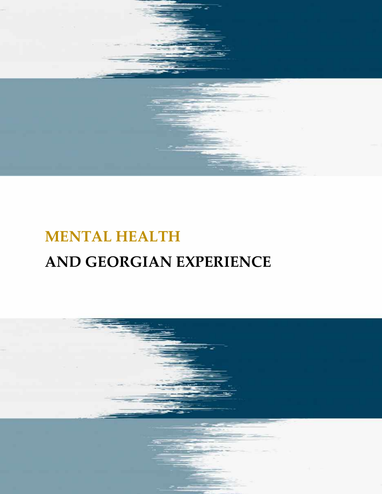

# **MENTAL HEALTH AND GEORGIAN EXPERIENCE**

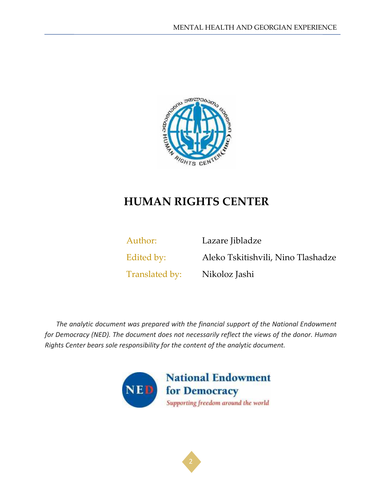

# **HUMAN RIGHTS CENTER**

Author: Lazare Jibladze Edited by: Aleko Tskitishvili, Nino Tlashadze Translated by: Nikoloz Jashi

*The analytic document was prepared with the financial support of the National Endowment for Democracy (NED). The document does not necessarily reflect the views of the donor. Human Rights Center bears sole responsibility for the content of the analytic document.*



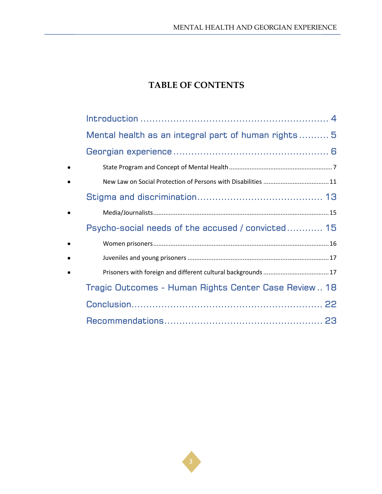# **TABLE OF CONTENTS**

|           | Mental health as an integral part of human rights 5  |
|-----------|------------------------------------------------------|
|           |                                                      |
| $\bullet$ |                                                      |
| $\bullet$ |                                                      |
|           |                                                      |
| $\bullet$ |                                                      |
|           | Psycho-social needs of the accused / convicted 15    |
| $\bullet$ |                                                      |
| $\bullet$ |                                                      |
| $\bullet$ |                                                      |
|           | Tragic Outcomes - Human Rights Center Case Review 18 |
|           |                                                      |
|           |                                                      |

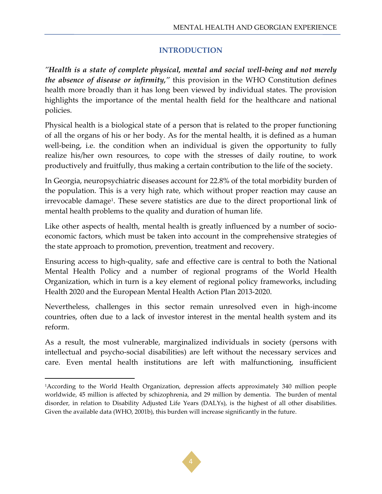#### **INTRODUCTION**

<span id="page-3-0"></span>*"Health is a state of complete physical, mental and social well-being and not merely the absence of disease or infirmity,"* this provision in the WHO Constitution defines health more broadly than it has long been viewed by individual states. The provision highlights the importance of the mental health field for the healthcare and national policies.

Physical health is a biological state of a person that is related to the proper functioning of all the organs of his or her body. As for the mental health, it is defined as a human well-being, i.e. the condition when an individual is given the opportunity to fully realize his/her own resources, to cope with the stresses of daily routine, to work productively and fruitfully, thus making a certain contribution to the life of the society.

In Georgia, neuropsychiatric diseases account for 22.8% of the total morbidity burden of the population. This is a very high rate, which without proper reaction may cause an irrevocable damage<sup>1</sup>. These severe statistics are due to the direct proportional link of mental health problems to the quality and duration of human life.

Like other aspects of health, mental health is greatly influenced by a number of socioeconomic factors, which must be taken into account in the comprehensive strategies of the state approach to promotion, prevention, treatment and recovery.

Ensuring access to high-quality, safe and effective care is central to both the National Mental Health Policy and a number of regional programs of the World Health Organization, which in turn is a key element of regional policy frameworks, including Health 2020 and the European Mental Health Action Plan 2013-2020.

Nevertheless, challenges in this sector remain unresolved even in high-income countries, often due to a lack of investor interest in the mental health system and its reform.

As a result, the most vulnerable, marginalized individuals in society (persons with intellectual and psycho-social disabilities) are left without the necessary services and care. Even mental health institutions are left with malfunctioning, insufficient



<sup>1</sup>According to the World Health Organization, depression affects approximately 340 million people worldwide, 45 million is affected by schizophrenia, and 29 million by dementia. The burden of mental disorder, in relation to Disability Adjusted Life Years (DALYs), is the highest of all other disabilities. Given the available data (WHO, 2001b), this burden will increase significantly in the future.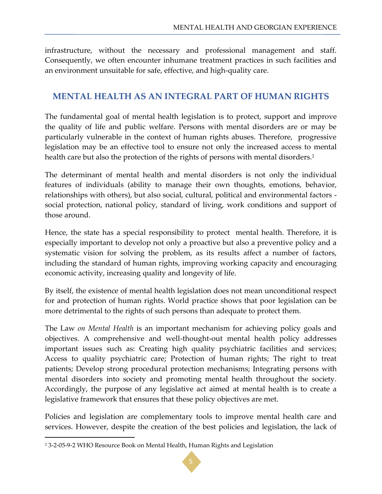infrastructure, without the necessary and professional management and staff. Consequently, we often encounter inhumane treatment practices in such facilities and an environment unsuitable for safe, effective, and high-quality care.

## <span id="page-4-0"></span>**MENTAL HEALTH AS AN INTEGRAL PART OF HUMAN RIGHTS**

The fundamental goal of mental health legislation is to protect, support and improve the quality of life and public welfare. Persons with mental disorders are or may be particularly vulnerable in the context of human rights abuses. Therefore, progressive legislation may be an effective tool to ensure not only the increased access to mental health care but also the protection of the rights of persons with mental disorders.<sup>2</sup>

The determinant of mental health and mental disorders is not only the individual features of individuals (ability to manage their own thoughts, emotions, behavior, relationships with others), but also social, cultural, political and environmental factors social protection, national policy, standard of living, work conditions and support of those around.

Hence, the state has a special responsibility to protect mental health. Therefore, it is especially important to develop not only a proactive but also a preventive policy and a systematic vision for solving the problem, as its results affect a number of factors, including the standard of human rights, improving working capacity and encouraging economic activity, increasing quality and longevity of life.

By itself, the existence of mental health legislation does not mean unconditional respect for and protection of human rights. World practice shows that poor legislation can be more detrimental to the rights of such persons than adequate to protect them.

The Law *on Mental Health* is an important mechanism for achieving policy goals and objectives. A comprehensive and well-thought-out mental health policy addresses important issues such as: Creating high quality psychiatric facilities and services; Access to quality psychiatric care; Protection of human rights; The right to treat patients; Develop strong procedural protection mechanisms; Integrating persons with mental disorders into society and promoting mental health throughout the society. Accordingly, the purpose of any legislative act aimed at mental health is to create a legislative framework that ensures that these policy objectives are met.

Policies and legislation are complementary tools to improve mental health care and services. However, despite the creation of the best policies and legislation, the lack of



<sup>2</sup> 3-2-05-9-2 WHO Resource Book on Mental Health, Human Rights and Legislation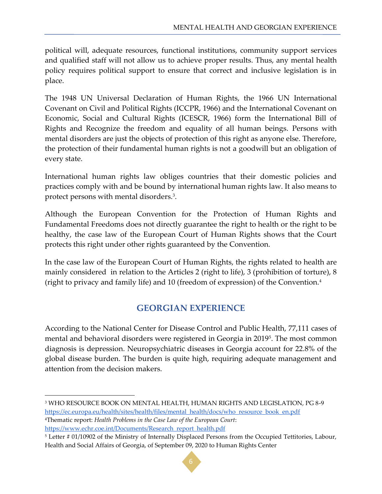political will, adequate resources, functional institutions, community support services and qualified staff will not allow us to achieve proper results. Thus, any mental health policy requires political support to ensure that correct and inclusive legislation is in place.

The 1948 UN Universal Declaration of Human Rights, the 1966 UN International Covenant on Civil and Political Rights (ICCPR, 1966) and the International Covenant on Economic, Social and Cultural Rights (ICESCR, 1966) form the International Bill of Rights and Recognize the freedom and equality of all human beings. Persons with mental disorders are just the objects of protection of this right as anyone else. Therefore, the protection of their fundamental human rights is not a goodwill but an obligation of every state.

International human rights law obliges countries that their domestic policies and practices comply with and be bound by international human rights law. It also means to protect persons with mental disorders.<sup>3</sup> .

Although the European Convention for the Protection of Human Rights and Fundamental Freedoms does not directly guarantee the right to health or the right to be healthy, the case law of the European Court of Human Rights shows that the Court protects this right under other rights guaranteed by the Convention.

In the case law of the European Court of Human Rights, the rights related to health are mainly considered in relation to the Articles 2 (right to life), 3 (prohibition of torture), 8 (right to privacy and family life) and 10 (freedom of expression) of the Convention.<sup>4</sup>

# **GEORGIAN EXPERIENCE**

<span id="page-5-0"></span>According to the National Center for Disease Control and Public Health, 77,111 cases of mental and behavioral disorders were registered in Georgia in 2019<sup>5</sup> . The most common diagnosis is depression. Neuropsychiatric diseases in Georgia account for 22.8% of the global disease burden. The burden is quite high, requiring adequate management and attention from the decision makers.

<sup>5</sup> Letter # 01/10902 of the Ministry of Internally Displaced Persons from the Occupied Tettitories, Labour, Health and Social Affairs of Georgia, of September 09, 2020 to Human Rights Center



<sup>3</sup> WHO RESOURCE BOOK ON MENTAL HEALTH, HUMAN RIGHTS AND LEGISLATION, PG 8-9 [https://ec.europa.eu/health/sites/health/files/mental\\_health/docs/who\\_resource\\_book\\_en.pdf](https://ec.europa.eu/health/sites/health/files/mental_health/docs/who_resource_book_en.pdf)

<sup>4</sup>Thematic report: *Health Problems in the Case Law of the European Court*: [https://www.echr.coe.int/Documents/Research\\_report\\_health.pdf](https://www.echr.coe.int/Documents/Research_report_health.pdf)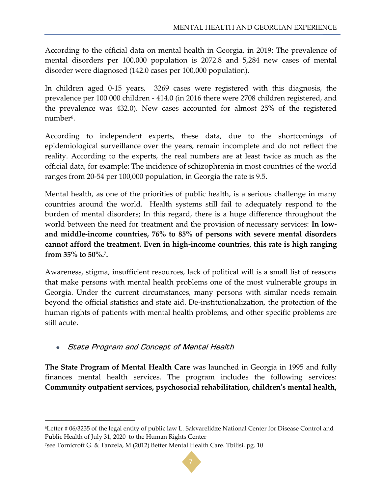According to the official data on mental health in Georgia, in 2019: The prevalence of mental disorders per 100,000 population is 2072.8 and 5,284 new cases of mental disorder were diagnosed (142.0 cases per 100,000 population).

In children aged 0-15 years, 3269 cases were registered with this diagnosis, the prevalence per 100 000 children - 414.0 (in 2016 there were 2708 children registered, and the prevalence was 432.0). New cases accounted for almost 25% of the registered number<sup>6</sup>.

According to independent experts, these data, due to the shortcomings of epidemiological surveillance over the years, remain incomplete and do not reflect the reality. According to the experts, the real numbers are at least twice as much as the official data, for example: The incidence of schizophrenia in most countries of the world ranges from 20-54 per 100,000 population, in Georgia the rate is 9.5.

Mental health, as one of the priorities of public health, is a serious challenge in many countries around the world. Health systems still fail to adequately respond to the burden of mental disorders; In this regard, there is a huge difference throughout the world between the need for treatment and the provision of necessary services: **In lowand middle-income countries, 76% to 85% of persons with severe mental disorders cannot afford the treatment. Even in high-income countries, this rate is high ranging from 35% to 50%.<sup>7</sup> .**

Awareness, stigma, insufficient resources, lack of political will is a small list of reasons that make persons with mental health problems one of the most vulnerable groups in Georgia. Under the current circumstances, many persons with similar needs remain beyond the official statistics and state aid. De-institutionalization, the protection of the human rights of patients with mental health problems, and other specific problems are still acute.

## <span id="page-6-0"></span>State Program and Concept of Mental Health

**The State Program of Mental Health Care** was launched in Georgia in 1995 and fully finances mental health services. The program includes the following services: **Community outpatient services, psychosocial rehabilitation, children's mental health,** 



<sup>6</sup>Letter # 06/3235 of the legal entity of public law L. Sakvarelidze National Center for Disease Control and Public Health of July 31, 2020 to the Human Rights Center

<sup>7</sup>see Tornicroft G. & Tanzela, M (2012) Better Mental Health Care. Tbilisi. pg. 10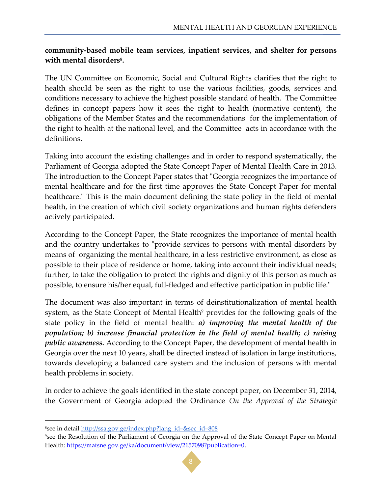#### **community-based mobile team services, inpatient services, and shelter for persons with mental disorders<sup>8</sup> .**

The UN Committee on Economic, Social and Cultural Rights clarifies that the right to health should be seen as the right to use the various facilities, goods, services and conditions necessary to achieve the highest possible standard of health. The Committee defines in concept papers how it sees the right to health (normative content), the obligations of the Member States and the recommendations for the implementation of the right to health at the national level, and the Committee acts in accordance with the definitions.

Taking into account the existing challenges and in order to respond systematically, the Parliament of Georgia adopted the State Concept Paper of Mental Health Care in 2013. The introduction to the Concept Paper states that "Georgia recognizes the importance of mental healthcare and for the first time approves the State Concept Paper for mental healthcare." This is the main document defining the state policy in the field of mental health, in the creation of which civil society organizations and human rights defenders actively participated.

According to the Concept Paper, the State recognizes the importance of mental health and the country undertakes to "provide services to persons with mental disorders by means of organizing the mental healthcare, in a less restrictive environment, as close as possible to their place of residence or home, taking into account their individual needs; further, to take the obligation to protect the rights and dignity of this person as much as possible, to ensure his/her equal, full-fledged and effective participation in public life."

The document was also important in terms of deinstitutionalization of mental health system, as the State Concept of Mental Health<sup>9</sup> provides for the following goals of the state policy in the field of mental health: *a) improving the mental health of the population; b) increase financial protection in the field of mental health; c) raising public awareness.* According to the Concept Paper, the development of mental health in Georgia over the next 10 years, shall be directed instead of isolation in large institutions, towards developing a balanced care system and the inclusion of persons with mental health problems in society.

In order to achieve the goals identified in the state concept paper, on December 31, 2014, the Government of Georgia adopted the Ordinance *On the Approval of the Strategic* 

<sup>9</sup>see the Resolution of the Parliament of Georgia on the Approval of the State Concept Paper on Mental Health:<https://matsne.gov.ge/ka/document/view/2157098?publication=0.>



<sup>8</sup>see in detail [http://ssa.gov.ge/index.php?lang\\_id=&sec\\_id=808](http://ssa.gov.ge/index.php?lang_id=&sec_id=808)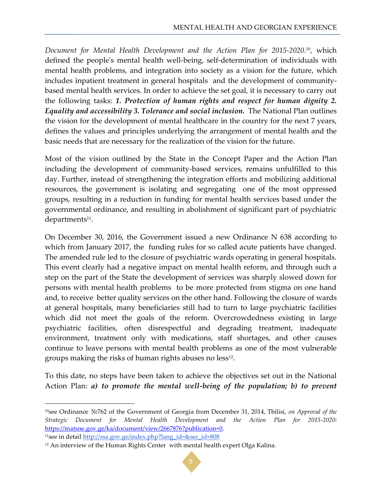*Document for Mental Health Development and the Action Plan for 2015-2020*. <sup>10</sup>, which defined the people's mental health well-being, self-determination of individuals with mental health problems, and integration into society as a vision for the future, which includes inpatient treatment in general hospitals and the development of communitybased mental health services. In order to achieve the set goal, it is necessary to carry out the following tasks: *1. Protection of human rights and respect for human dignity 2. Equality and accessibility 3. Tolerance and social inclusion.* The National Plan outlines the vision for the development of mental healthcare in the country for the next 7 years, defines the values and principles underlying the arrangement of mental health and the basic needs that are necessary for the realization of the vision for the future.

Most of the vision outlined by the State in the Concept Paper and the Action Plan including the development of community-based services, remains unfulfilled to this day. Further, instead of strengthening the integration efforts and mobilizing additional resources, the government is isolating and segregating one of the most oppressed groups, resulting in a reduction in funding for mental health services based under the governmental ordinance, and resulting in abolishment of significant part of psychiatric departments<sup>11</sup>.

On December 30, 2016, the Government issued a new Ordinance N 638 according to which from January 2017, the funding rules for so called acute patients have changed. The amended rule led to the closure of psychiatric wards operating in general hospitals. This event clearly had a negative impact on mental health reform, and through such a step on the part of the State the development of services was sharply slowed down for persons with mental health problems to be more protected from stigma on one hand and, to receive better quality services on the other hand. Following the closure of wards at general hospitals, many beneficiaries still had to turn to large psychiatric facilities which did not meet the goals of the reform. Overcrowdedness existing in large psychiatric facilities, often disrespectful and degrading treatment, inadequate environment, treatment only with medications, staff shortages, and other causes continue to leave persons with mental health problems as one of the most vulnerable groups making the risks of human rights abuses no  ${\rm less^{\scriptscriptstyle 12}}.$ 

To this date, no steps have been taken to achieve the objectives set out in the National Action Plan: *a) to promote the mental well-being of the population; b) to prevent* 

<sup>11</sup>see in detail [http://ssa.gov.ge/index.php?lang\\_id=&sec\\_id=808](http://liberali.ge/articles/view/26959/fsiqikuri-janmrtelobis-reforma-safrtkhis-qvesh)

<sup>&</sup>lt;sup>12</sup> An interview of the Human Rights Center with mental health expert Olga Kalina.



<sup>10</sup>see Ordinance №762 of the Government of Georgia from December 31, 2014, Tbilisi, *on Approval of the Strategic Document for Mental Health Development and the Action Plan for 2015-2020:* <https://matsne.gov.ge/ka/document/view/2667876?publication=0.>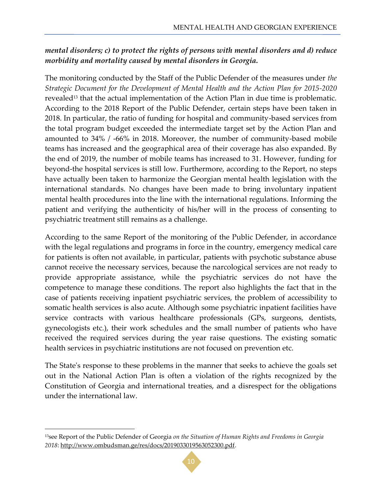# *mental disorders; c) to protect the rights of persons with mental disorders and d) reduce morbidity and mortality caused by mental disorders in Georgia.*

The monitoring conducted by the Staff of the Public Defender of the measures under *the Strategic Document for the Development of Mental Health and the Action Plan for 2015-2020* revealed<sup>13</sup> that the actual implementation of the Action Plan in due time is problematic. According to the 2018 Report of the Public Defender, certain steps have been taken in 2018. In particular, the ratio of funding for hospital and community-based services from the total program budget exceeded the intermediate target set by the Action Plan and amounted to 34% / -66% in 2018. Moreover, the number of community-based mobile teams has increased and the geographical area of their coverage has also expanded. By the end of 2019, the number of mobile teams has increased to 31. However, funding for beyond-the hospital services is still low. Furthermore, according to the Report, no steps have actually been taken to harmonize the Georgian mental health legislation with the international standards. No changes have been made to bring involuntary inpatient mental health procedures into the line with the international regulations. Informing the patient and verifying the authenticity of his/her will in the process of consenting to psychiatric treatment still remains as a challenge.

According to the same Report of the monitoring of the Public Defender, in accordance with the legal regulations and programs in force in the country, emergency medical care for patients is often not available, in particular, patients with psychotic substance abuse cannot receive the necessary services, because the narcological services are not ready to provide appropriate assistance, while the psychiatric services do not have the competence to manage these conditions. The report also highlights the fact that in the case of patients receiving inpatient psychiatric services, the problem of accessibility to somatic health services is also acute. Although some psychiatric inpatient facilities have service contracts with various healthcare professionals (GPs, surgeons, dentists, gynecologists etc.), their work schedules and the small number of patients who have received the required services during the year raise questions. The existing somatic health services in psychiatric institutions are not focused on prevention etc.

The State's response to these problems in the manner that seeks to achieve the goals set out in the National Action Plan is often a violation of the rights recognized by the Constitution of Georgia and international treaties, and a disrespect for the obligations under the international law.

l



<sup>13</sup>see Report of the Public Defender of Georgia *on the Situation of Human Rights and Freedoms in Georgia 2018*: [http://www.ombudsman.ge/res/docs/2019033019563052300.pdf.](http://www.ombudsman.ge/res/docs/2019033019563052300.pdf)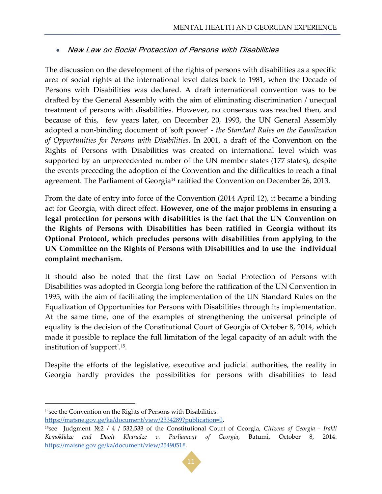#### <span id="page-10-0"></span>New Law on Social Protection of Persons with Disabilities

The discussion on the development of the rights of persons with disabilities as a specific area of social rights at the international level dates back to 1981, when the Decade of Persons with Disabilities was declared. A draft international convention was to be drafted by the General Assembly with the aim of eliminating discrimination / unequal treatment of persons with disabilities. However, no consensus was reached then, and because of this, few years later, on December 20, 1993, the UN General Assembly adopted a non-binding document of 'soft power' - *the Standard Rules on the Equalization of Opportunities for Persons with Disabilities*. In 2001, a draft of the Convention on the Rights of Persons with Disabilities was created on international level which was supported by an unprecedented number of the UN member states (177 states), despite the events preceding the adoption of the Convention and the difficulties to reach a final agreement. The Parliament of Georgia<sup>14</sup> ratified the Convention on December 26, 2013.

From the date of entry into force of the Convention (2014 April 12), it became a binding act for Georgia, with direct effect. **However, one of the major problems in ensuring a legal protection for persons with disabilities is the fact that the UN Convention on the Rights of Persons with Disabilities has been ratified in Georgia without its Optional Protocol, which precludes persons with disabilities from applying to the UN Committee on the Rights of Persons with Disabilities and to use the individual complaint mechanism.** 

It should also be noted that the first Law on Social Protection of Persons with Disabilities was adopted in Georgia long before the ratification of the UN Convention in 1995, with the aim of facilitating the implementation of the UN Standard Rules on the Equalization of Opportunities for Persons with Disabilities through its implementation. At the same time, one of the examples of strengthening the universal principle of equality is the decision of the Constitutional Court of Georgia of October 8, 2014, which made it possible to replace the full limitation of the legal capacity of an adult with the institution of 'support'.<sup>15</sup> .

Despite the efforts of the legislative, executive and judicial authorities, the reality in Georgia hardly provides the possibilities for persons with disabilities to lead

 $\overline{\phantom{a}}$ 

<https://matsne.gov.ge/ka/document/view/2334289?publication=0.>

<sup>15</sup>see Judgment №2 / 4 / 532,533 of the Constitutional Court of Georgia, *Citizens of Georgia - Irakli Kemoklidze and Davit Kharadze v. Parliament of Georgia*, Batumi, October 8, 2014. [https://matsne.gov.ge/ka/document/view/2549051#.](https://matsne.gov.ge/ka/document/view/2549051)



<sup>14</sup>see the Convention on the Rights of Persons with Disabilities: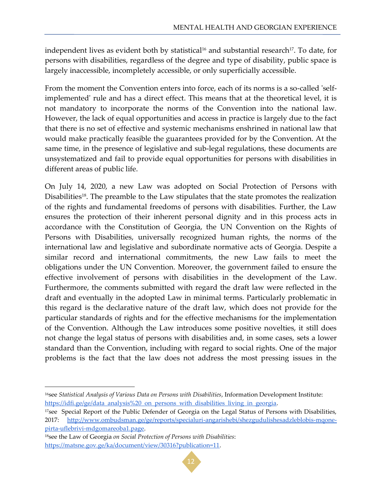independent lives as evident both by statistical<sup>16</sup> and substantial research<sup>17</sup>. To date, for persons with disabilities, regardless of the degree and type of disability, public space is largely inaccessible, incompletely accessible, or only superficially accessible.

From the moment the Convention enters into force, each of its norms is a so-called 'selfimplemented' rule and has a direct effect. This means that at the theoretical level, it is not mandatory to incorporate the norms of the Convention into the national law. However, the lack of equal opportunities and access in practice is largely due to the fact that there is no set of effective and systemic mechanisms enshrined in national law that would make practically feasible the guarantees provided for by the Convention. At the same time, in the presence of legislative and sub-legal regulations, these documents are unsystematized and fail to provide equal opportunities for persons with disabilities in different areas of public life.

On July 14, 2020, a new Law was adopted on Social Protection of Persons with Disabilities<sup>18</sup>. The preamble to the Law stipulates that the state promotes the realization of the rights and fundamental freedoms of persons with disabilities. Further, the Law ensures the protection of their inherent personal dignity and in this process acts in accordance with the Constitution of Georgia, the UN Convention on the Rights of Persons with Disabilities, universally recognized human rights, the norms of the international law and legislative and subordinate normative acts of Georgia. Despite a similar record and international commitments, the new Law fails to meet the obligations under the UN Convention. Moreover, the government failed to ensure the effective involvement of persons with disabilities in the development of the Law. Furthermore, the comments submitted with regard the draft law were reflected in the draft and eventually in the adopted Law in minimal terms. Particularly problematic in this regard is the declarative nature of the draft law, which does not provide for the particular standards of rights and for the effective mechanisms for the implementation of the Convention. Although the Law introduces some positive novelties, it still does not change the legal status of persons with disabilities and, in some cases, sets a lower standard than the Convention, including with regard to social rights. One of the major problems is the fact that the law does not address the most pressing issues in the



<sup>16</sup>see *Statistical Analysis of Various Data on Persons with Disabilities*, Information Development Institute: https://idfi.ge/ge/data\_analysis%20\_on\_persons\_with\_disabilities\_living\_in\_georgia.

<sup>&</sup>lt;sup>17</sup>see Special Report of the Public Defender of Georgia on the Legal Status of Persons with Disabilities, 2017: [http://www.ombudsman.ge/ge/reports/specialuri-angarishebi/shezgudulishesadzleblobis-mqone](http://www.ombudsman.ge/ge/reports/specialuri-angarishebi/shezgudulishesadzleblobis-mqone-pirta-uflebrivi-mdgomareoba1.page.)[pirta-uflebrivi-mdgomareoba1.page.](http://www.ombudsman.ge/ge/reports/specialuri-angarishebi/shezgudulishesadzleblobis-mqone-pirta-uflebrivi-mdgomareoba1.page.)

<sup>18</sup>see the Law of Georgia *on Social Protection of Persons with Disabilities*: [https://matsne.gov.ge/ka/document/view/30316?publication=11.](https://matsne.gov.ge/ka/document/view/30316?publication=11)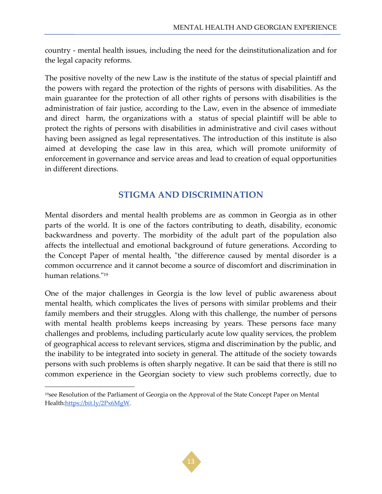country - mental health issues, including the need for the deinstitutionalization and for the legal capacity reforms.

The positive novelty of the new Law is the institute of the status of special plaintiff and the powers with regard the protection of the rights of persons with disabilities. As the main guarantee for the protection of all other rights of persons with disabilities is the administration of fair justice, according to the Law, even in the absence of immediate and direct harm, the organizations with a status of special plaintiff will be able to protect the rights of persons with disabilities in administrative and civil cases without having been assigned as legal representatives. The introduction of this institute is also aimed at developing the case law in this area, which will promote uniformity of enforcement in governance and service areas and lead to creation of equal opportunities in different directions.

# **STIGMA AND DISCRIMINATION**

<span id="page-12-0"></span>Mental disorders and mental health problems are as common in Georgia as in other parts of the world. It is one of the factors contributing to death, disability, economic backwardness and poverty. The morbidity of the adult part of the population also affects the intellectual and emotional background of future generations. According to the Concept Paper of mental health, "the difference caused by mental disorder is a common occurrence and it cannot become a source of discomfort and discrimination in human relations."<sup>19</sup>

One of the major challenges in Georgia is the low level of public awareness about mental health, which complicates the lives of persons with similar problems and their family members and their struggles. Along with this challenge, the number of persons with mental health problems keeps increasing by years. These persons face many challenges and problems, including particularly acute low quality services, the problem of geographical access to relevant services, stigma and discrimination by the public, and the inability to be integrated into society in general. The attitude of the society towards persons with such problems is often sharply negative. It can be said that there is still no common experience in the Georgian society to view such problems correctly, due to



<sup>&</sup>lt;sup>19</sup>see Resolution of the Parliament of Georgia on the Approval of the State Concept Paper on Mental Healt[h:https://bit.ly/2Px6MgW.](https://bit.ly/2Px6MgW)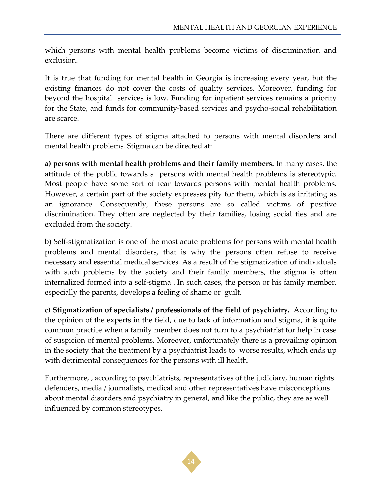which persons with mental health problems become victims of discrimination and exclusion.

It is true that funding for mental health in Georgia is increasing every year, but the existing finances do not cover the costs of quality services. Moreover, funding for beyond the hospital services is low. Funding for inpatient services remains a priority for the State, and funds for community-based services and psycho-social rehabilitation are scarce.

There are different types of stigma attached to persons with mental disorders and mental health problems. Stigma can be directed at:

**a) persons with mental health problems and their family members.** In many cases, the attitude of the public towards s persons with mental health problems is stereotypic. Most people have some sort of fear towards persons with mental health problems. However, a certain part of the society expresses pity for them, which is as irritating as an ignorance. Consequently, these persons are so called victims of positive discrimination. They often are neglected by their families, losing social ties and are excluded from the society.

b) Self-stigmatization is one of the most acute problems for persons with mental health problems and mental disorders, that is why the persons often refuse to receive necessary and essential medical services. As a result of the stigmatization of individuals with such problems by the society and their family members, the stigma is often internalized formed into a self-stigma . In such cases, the person or his family member, especially the parents, develops a feeling of shame or guilt.

**c) Stigmatization of specialists / professionals of the field of psychiatry.** According to the opinion of the experts in the field, due to lack of information and stigma, it is quite common practice when a family member does not turn to a psychiatrist for help in case of suspicion of mental problems. Moreover, unfortunately there is a prevailing opinion in the society that the treatment by a psychiatrist leads to worse results, which ends up with detrimental consequences for the persons with ill health.

Furthermore, , according to psychiatrists, representatives of the judiciary, human rights defenders, media / journalists, medical and other representatives have misconceptions about mental disorders and psychiatry in general, and like the public, they are as well influenced by common stereotypes.

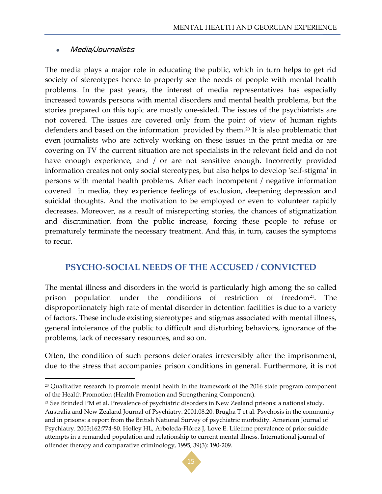#### <span id="page-14-0"></span>Media/Journalists

 $\overline{\phantom{a}}$ 

The media plays a major role in educating the public, which in turn helps to get rid society of stereotypes hence to properly see the needs of people with mental health problems. In the past years, the interest of media representatives has especially increased towards persons with mental disorders and mental health problems, but the stories prepared on this topic are mostly one-sided. The issues of the psychiatrists are not covered. The issues are covered only from the point of view of human rights defenders and based on the information provided by them.<sup>20</sup> It is also problematic that even journalists who are actively working on these issues in the print media or are covering on TV the current situation are not specialists in the relevant field and do not have enough experience, and / or are not sensitive enough. Incorrectly provided information creates not only social stereotypes, but also helps to develop 'self-stigma' in persons with mental health problems. After each incompetent / negative information covered in media, they experience feelings of exclusion, deepening depression and suicidal thoughts. And the motivation to be employed or even to volunteer rapidly decreases. Moreover, as a result of misreporting stories, the chances of stigmatization and discrimination from the public increase, forcing these people to refuse or prematurely terminate the necessary treatment. And this, in turn, causes the symptoms to recur.

## <span id="page-14-1"></span>**PSYCHO-SOCIAL NEEDS OF THE ACCUSED / CONVICTED**

The mental illness and disorders in the world is particularly high among the so called prison population under the conditions of restriction of freedom<sup>21</sup>. The disproportionately high rate of mental disorder in detention facilities is due to a variety of factors. These include existing stereotypes and stigmas associated with mental illness, general intolerance of the public to difficult and disturbing behaviors, ignorance of the problems, lack of necessary resources, and so on.

Often, the condition of such persons deteriorates irreversibly after the imprisonment, due to the stress that accompanies prison conditions in general. Furthermore, it is not

<sup>21</sup> See Brinded PM et al. Prevalence of psychiatric disorders in New Zealand prisons: a national study. Australia and New Zealand Journal of Psychiatry. 2001.08.20. Brugha T et al. Psychosis in the community and in prisons: a report from the British National Survey of psychiatric morbidity. American Journal of Psychiatry. 2005;162:774-80. Holley HL, Arboleda-Flórez J, Love E. Lifetime prevalence of prior suicide attempts in a remanded population and relationship to current mental illness. International journal of offender therapy and comparative criminology, 1995, 39(3): 190-209.



<sup>&</sup>lt;sup>20</sup> Qualitative research to promote mental health in the framework of the 2016 state program component of the Health Promotion (Health Promotion and Strengthening Component).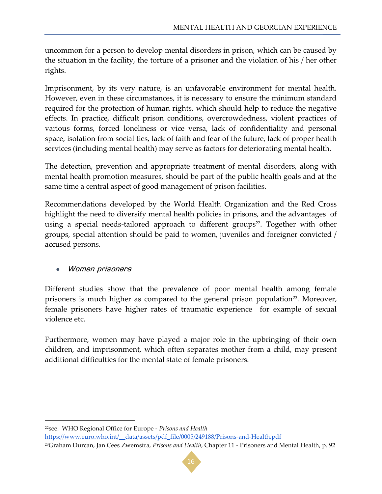uncommon for a person to develop mental disorders in prison, which can be caused by the situation in the facility, the torture of a prisoner and the violation of his / her other rights.

Imprisonment, by its very nature, is an unfavorable environment for mental health. However, even in these circumstances, it is necessary to ensure the minimum standard required for the protection of human rights, which should help to reduce the negative effects. In practice, difficult prison conditions, overcrowdedness, violent practices of various forms, forced loneliness or vice versa, lack of confidentiality and personal space, isolation from social ties, lack of faith and fear of the future, lack of proper health services (including mental health) may serve as factors for deteriorating mental health.

The detection, prevention and appropriate treatment of mental disorders, along with mental health promotion measures, should be part of the public health goals and at the same time a central aspect of good management of prison facilities.

Recommendations developed by the World Health Organization and the Red Cross highlight the need to diversify mental health policies in prisons, and the advantages of using a special needs-tailored approach to different groups<sup>22</sup>. Together with other groups, special attention should be paid to women, juveniles and foreigner convicted / accused persons.

#### <span id="page-15-0"></span>Women prisoners

 $\overline{\phantom{a}}$ 

Different studies show that the prevalence of poor mental health among female prisoners is much higher as compared to the general prison population<sup>23</sup>. Moreover, female prisoners have higher rates of traumatic experience for example of sexual violence etc.

Furthermore, women may have played a major role in the upbringing of their own children, and imprisonment, which often separates mother from a child, may present additional difficulties for the mental state of female prisoners.

[https://www.euro.who.int/\\_\\_data/assets/pdf\\_file/0005/249188/Prisons-and-Health.pdf](https://www.euro.who.int/__data/assets/pdf_file/0005/249188/Prisons-and-Health.pdf)

<sup>23</sup>Graham Durcan, Jan Cees Zwemstra, *Prisons and Health*, Chapter 11 - Prisoners and Mental Health, p. 92



<sup>22</sup>see. WHO Regional Office for Europe - *Prisons and Health*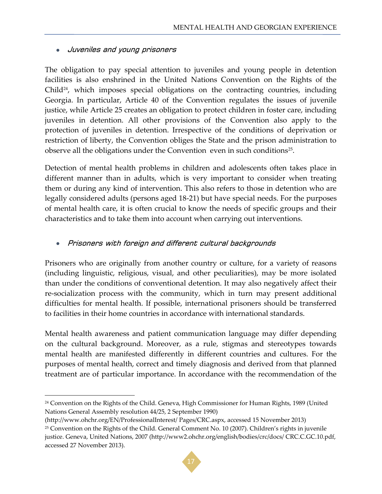#### <span id="page-16-0"></span>Juveniles and young prisoners

The obligation to pay special attention to juveniles and young people in detention facilities is also enshrined in the United Nations Convention on the Rights of the Child<sup>24</sup>, which imposes special obligations on the contracting countries, including Georgia. In particular, Article 40 of the Convention regulates the issues of juvenile justice, while Article 25 creates an obligation to protect children in foster care, including juveniles in detention. All other provisions of the Convention also apply to the protection of juveniles in detention. Irrespective of the conditions of deprivation or restriction of liberty, the Convention obliges the State and the prison administration to observe all the obligations under the Convention even in such conditions<sup>25</sup>.

Detection of mental health problems in children and adolescents often takes place in different manner than in adults, which is very important to consider when treating them or during any kind of intervention. This also refers to those in detention who are legally considered adults (persons aged 18-21) but have special needs. For the purposes of mental health care, it is often crucial to know the needs of specific groups and their characteristics and to take them into account when carrying out interventions.

#### <span id="page-16-1"></span>Prisoners with foreign and different cultural backgrounds

Prisoners who are originally from another country or culture, for a variety of reasons (including linguistic, religious, visual, and other peculiarities), may be more isolated than under the conditions of conventional detention. It may also negatively affect their re-socialization process with the community, which in turn may present additional difficulties for mental health. If possible, international prisoners should be transferred to facilities in their home countries in accordance with international standards.

Mental health awareness and patient communication language may differ depending on the cultural background. Moreover, as a rule, stigmas and stereotypes towards mental health are manifested differently in different countries and cultures. For the purposes of mental health, correct and timely diagnosis and derived from that planned treatment are of particular importance. In accordance with the recommendation of the

<sup>&</sup>lt;sup>25</sup> Convention on the Rights of the Child. General Comment No. 10 (2007). Children's rights in juvenile justice. Geneva, United Nations, 2007 (http://www2.ohchr.org/english/bodies/crc/docs/ CRC.C.GC.10.pdf, accessed 27 November 2013).



<sup>24</sup> Convention on the Rights of the Child. Geneva, High Commissioner for Human Rights, 1989 (United Nations General Assembly resolution 44/25, 2 September 1990)

<sup>(</sup>http://www.ohchr.org/EN/ProfessionalInterest/ Pages/CRC.aspx, accessed 15 November 2013)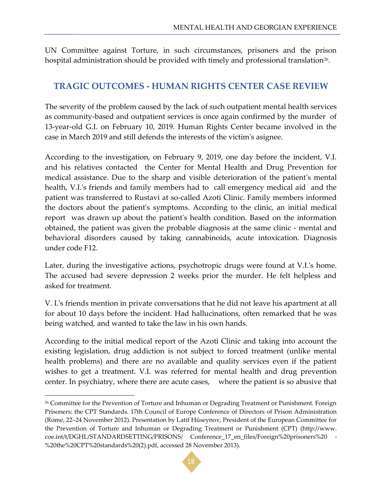<span id="page-17-0"></span>UN Committee against Torture, in such circumstances, prisoners and the prison hospital administration should be provided with timely and professional translation $^{\rm 26}.$ 

# **TRAGIC OUTCOMES - HUMAN RIGHTS CENTER CASE REVIEW**

The severity of the problem caused by the lack of such outpatient mental health services as community-based and outpatient services is once again confirmed by the murder of 13-year-old G.I. on February 10, 2019. Human Rights Center became involved in the case in March 2019 and still defends the interests of the victim's asignee.

According to the investigation, on February 9, 2019, one day before the incident, V.I. and his relatives contacted the Center for Mental Health and Drug Prevention for medical assistance. Due to the sharp and visible deterioration of the patient's mental health, V.I.'s friends and family members had to call emergency medical aid and the patient was transferred to Rustavi at so-called Azoti Clinic. Family members informed the doctors about the patient's symptoms. According to the clinic, an initial medical report was drawn up about the patient's health condition. Based on the information obtained, the patient was given the probable diagnosis at the same clinic - mental and behavioral disorders caused by taking cannabinoids, acute intoxication. Diagnosis under code F12.

Later, during the investigative actions, psychotropic drugs were found at V.I.'s home. The accused had severe depression 2 weeks prior the murder. He felt helpless and asked for treatment.

V. I.'s friends mention in private conversations that he did not leave his apartment at all for about 10 days before the incident. Had hallucinations, often remarked that he was being watched, and wanted to take the law in his own hands.

According to the initial medical report of the Azoti Clinic and taking into account the existing legislation, drug addiction is not subject to forced treatment (unlike mental health problems) and there are no available and quality services even if the patient wishes to get a treatment. V.I. was referred for mental health and drug prevention center. In psychiatry, where there are acute cases, where the patient is so abusive that



<sup>26</sup> Committee for the Prevention of Torture and Inhuman or Degrading Treatment or Punishment. Foreign Prisoners: the CPT Standards. 17th Council of Europe Conference of Directors of Prison Administration (Rome, 22–24 November 2012). Presentation by Latif Hüseynov, President of the European Committee for the Prevention of Torture and Inhuman or Degrading Treatment or Punishment (CPT) (http://www. coe.int/t/DGHL/STANDARDSETTING/PRISONS/ Conference\_17\_en\_files/Foreign%20prisoners%20 - %20the%20CPT%20standards%20(2).pdf, accessed 28 November 2013).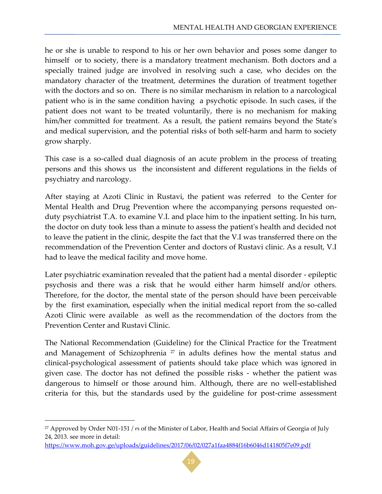he or she is unable to respond to his or her own behavior and poses some danger to himself or to society, there is a mandatory treatment mechanism. Both doctors and a specially trained judge are involved in resolving such a case, who decides on the mandatory character of the treatment, determines the duration of treatment together with the doctors and so on. There is no similar mechanism in relation to a narcological patient who is in the same condition having a psychotic episode. In such cases, if the patient does not want to be treated voluntarily, there is no mechanism for making him/her committed for treatment. As a result, the patient remains beyond the State's and medical supervision, and the potential risks of both self-harm and harm to society grow sharply.

This case is a so-called dual diagnosis of an acute problem in the process of treating persons and this shows us the inconsistent and different regulations in the fields of psychiatry and narcology.

After staying at Azoti Clinic in Rustavi, the patient was referred to the Center for Mental Health and Drug Prevention where the accompanying persons requested onduty psychiatrist T.A. to examine V.I. and place him to the inpatient setting. In his turn, the doctor on duty took less than a minute to assess the patient's health and decided not to leave the patient in the clinic, despite the fact that the V.I was transferred there on the recommendation of the Prevention Center and doctors of Rustavi clinic. As a result, V.I had to leave the medical facility and move home.

Later psychiatric examination revealed that the patient had a mental disorder - epileptic psychosis and there was a risk that he would either harm himself and/or others. Therefore, for the doctor, the mental state of the person should have been perceivable by the first examination, especially when the initial medical report from the so-called Azoti Clinic were available as well as the recommendation of the doctors from the Prevention Center and Rustavi Clinic.

The National Recommendation (Guideline) for the Clinical Practice for the Treatment and Management of Schizophrenia  $27$  in adults defines how the mental status and clinical-psychological assessment of patients should take place which was ignored in given case. The doctor has not defined the possible risks - whether the patient was dangerous to himself or those around him. Although, there are no well-established criteria for this, but the standards used by the guideline for post-crime assessment

 $\overline{a}$ 



<sup>27</sup> Approved by Order N01-151 / ო of the Minister of Labor, Health and Social Affairs of Georgia of July 24, 2013. see more in detail:

<https://www.moh.gov.ge/uploads/guidelines/2017/06/02/027a1faa4884f16b6046d141805f7e09.pdf>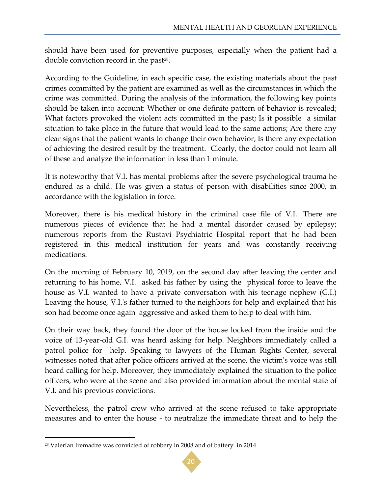should have been used for preventive purposes, especially when the patient had a double conviction record in the past<sup>28</sup>.

According to the Guideline, in each specific case, the existing materials about the past crimes committed by the patient are examined as well as the circumstances in which the crime was committed. During the analysis of the information, the following key points should be taken into account: Whether or one definite pattern of behavior is revealed; What factors provoked the violent acts committed in the past; Is it possible a similar situation to take place in the future that would lead to the same actions; Are there any clear signs that the patient wants to change their own behavior; Is there any expectation of achieving the desired result by the treatment. Clearly, the doctor could not learn all of these and analyze the information in less than 1 minute.

It is noteworthy that V.I. has mental problems after the severe psychological trauma he endured as a child. He was given a status of person with disabilities since 2000, in accordance with the legislation in force.

Moreover, there is his medical history in the criminal case file of V.I.. There are numerous pieces of evidence that he had a mental disorder caused by epilepsy; numerous reports from the Rustavi Psychiatric Hospital report that he had been registered in this medical institution for years and was constantly receiving medications.

On the morning of February 10, 2019, on the second day after leaving the center and returning to his home, V.I. asked his father by using the physical force to leave the house as V.I. wanted to have a private conversation with his teenage nephew (G.I.) Leaving the house, V.I.'s father turned to the neighbors for help and explained that his son had become once again aggressive and asked them to help to deal with him.

On their way back, they found the door of the house locked from the inside and the voice of 13-year-old G.I. was heard asking for help. Neighbors immediately called a patrol police for help. Speaking to lawyers of the Human Rights Center, several witnesses noted that after police officers arrived at the scene, the victim's voice was still heard calling for help. Moreover, they immediately explained the situation to the police officers, who were at the scene and also provided information about the mental state of V.I. and his previous convictions.

Nevertheless, the patrol crew who arrived at the scene refused to take appropriate measures and to enter the house - to neutralize the immediate threat and to help the



<sup>28</sup> Valerian Iremadze was convicted of robbery in 2008 and of battery in 2014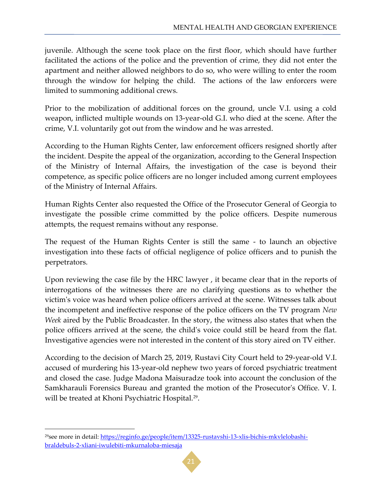juvenile. Although the scene took place on the first floor, which should have further facilitated the actions of the police and the prevention of crime, they did not enter the apartment and neither allowed neighbors to do so, who were willing to enter the room through the window for helping the child. The actions of the law enforcers were limited to summoning additional crews.

Prior to the mobilization of additional forces on the ground, uncle V.I. using a cold weapon, inflicted multiple wounds on 13-year-old G.I. who died at the scene. After the crime, V.I. voluntarily got out from the window and he was arrested.

According to the Human Rights Center, law enforcement officers resigned shortly after the incident. Despite the appeal of the organization, according to the General Inspection of the Ministry of Internal Affairs, the investigation of the case is beyond their competence, as specific police officers are no longer included among current employees of the Ministry of Internal Affairs.

Human Rights Center also requested the Office of the Prosecutor General of Georgia to investigate the possible crime committed by the police officers. Despite numerous attempts, the request remains without any response.

The request of the Human Rights Center is still the same - to launch an objective investigation into these facts of official negligence of police officers and to punish the perpetrators.

Upon reviewing the case file by the HRC lawyer , it became clear that in the reports of interrogations of the witnesses there are no clarifying questions as to whether the victim's voice was heard when police officers arrived at the scene. Witnesses talk about the incompetent and ineffective response of the police officers on the TV program *New Week* aired by the Public Broadcaster. In the story, the witness also states that when the police officers arrived at the scene, the child's voice could still be heard from the flat. Investigative agencies were not interested in the content of this story aired on TV either.

According to the decision of March 25, 2019, Rustavi City Court held to 29-year-old V.I. accused of murdering his 13-year-old nephew two years of forced psychiatric treatment and closed the case. Judge Madona Maisuradze took into account the conclusion of the Samkharauli Forensics Bureau and granted the motion of the Prosecutor's Office. V. I. will be treated at Khoni Psychiatric Hospital.<sup>29</sup>.

l



<sup>29</sup>see more in detail: [https://reginfo.ge/people/item/13325-rustavshi-13-xlis-bichis-mkvlelobashi](https://reginfo.ge/people/item/13325-rustavshi-13-xlis-bichis-mkvlelobashi-braldebuls-2-xliani-iwulebiti-mkurnaloba-miesaja)[braldebuls-2-xliani-iwulebiti-mkurnaloba-miesaja](https://reginfo.ge/people/item/13325-rustavshi-13-xlis-bichis-mkvlelobashi-braldebuls-2-xliani-iwulebiti-mkurnaloba-miesaja)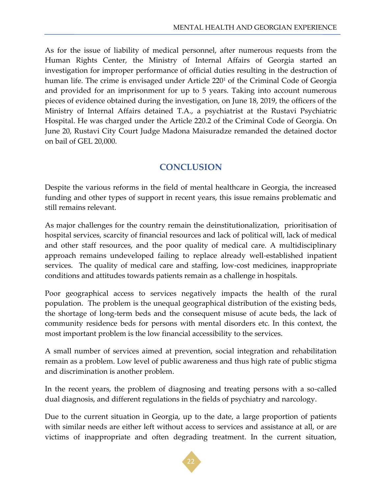As for the issue of liability of medical personnel, after numerous requests from the Human Rights Center, the Ministry of Internal Affairs of Georgia started an investigation for improper performance of official duties resulting in the destruction of human life. The crime is envisaged under Article 220<sup>1</sup> of the Criminal Code of Georgia and provided for an imprisonment for up to 5 years. Taking into account numerous pieces of evidence obtained during the investigation, on June 18, 2019, the officers of the Ministry of Internal Affairs detained T.A., a psychiatrist at the Rustavi Psychiatric Hospital. He was charged under the Article 220.2 of the Criminal Code of Georgia. On June 20, Rustavi City Court Judge Madona Maisuradze remanded the detained doctor on bail of GEL 20,000.

# **CONCLUSION**

<span id="page-21-0"></span>Despite the various reforms in the field of mental healthcare in Georgia, the increased funding and other types of support in recent years, this issue remains problematic and still remains relevant.

As major challenges for the country remain the deinstitutionalization, prioritisation of hospital services, scarcity of financial resources and lack of political will, lack of medical and other staff resources, and the poor quality of medical care. A multidisciplinary approach remains undeveloped failing to replace already well-established inpatient services. The quality of medical care and staffing, low-cost medicines, inappropriate conditions and attitudes towards patients remain as a challenge in hospitals.

Poor geographical access to services negatively impacts the health of the rural population. The problem is the unequal geographical distribution of the existing beds, the shortage of long-term beds and the consequent misuse of acute beds, the lack of community residence beds for persons with mental disorders etc. In this context, the most important problem is the low financial accessibility to the services.

A small number of services aimed at prevention, social integration and rehabilitation remain as a problem. Low level of public awareness and thus high rate of public stigma and discrimination is another problem.

In the recent years, the problem of diagnosing and treating persons with a so-called dual diagnosis, and different regulations in the fields of psychiatry and narcology.

Due to the current situation in Georgia, up to the date, a large proportion of patients with similar needs are either left without access to services and assistance at all, or are victims of inappropriate and often degrading treatment. In the current situation,

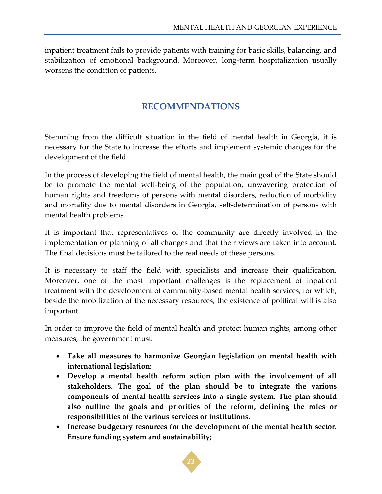<span id="page-22-0"></span>inpatient treatment fails to provide patients with training for basic skills, balancing, and stabilization of emotional background. Moreover, long-term hospitalization usually worsens the condition of patients.

#### **RECOMMENDATIONS**

Stemming from the difficult situation in the field of mental health in Georgia, it is necessary for the State to increase the efforts and implement systemic changes for the development of the field.

In the process of developing the field of mental health, the main goal of the State should be to promote the mental well-being of the population, unwavering protection of human rights and freedoms of persons with mental disorders, reduction of morbidity and mortality due to mental disorders in Georgia, self-determination of persons with mental health problems.

It is important that representatives of the community are directly involved in the implementation or planning of all changes and that their views are taken into account. The final decisions must be tailored to the real needs of these persons.

It is necessary to staff the field with specialists and increase their qualification. Moreover, one of the most important challenges is the replacement of inpatient treatment with the development of community-based mental health services, for which, beside the mobilization of the necessary resources, the existence of political will is also important.

In order to improve the field of mental health and protect human rights, among other measures, the government must:

- **Take all measures to harmonize Georgian legislation on mental health with international legislation;**
- **Develop a mental health reform action plan with the involvement of all stakeholders. The goal of the plan should be to integrate the various components of mental health services into a single system. The plan should also outline the goals and priorities of the reform, defining the roles or responsibilities of the various services or institutions.**
- **Increase budgetary resources for the development of the mental health sector. Ensure funding system and sustainability;**